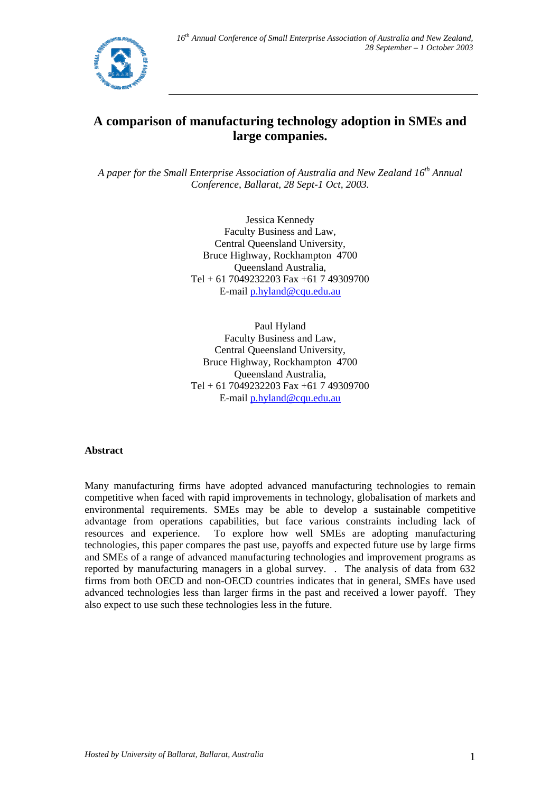

# **A comparison of manufacturing technology adoption in SMEs and large companies.**

*A paper for the Small Enterprise Association of Australia and New Zealand 16th Annual Conference, Ballarat, 28 Sept-1 Oct, 2003.*

> Jessica Kennedy Faculty Business and Law, Central Queensland University, Bruce Highway, Rockhampton 4700 Queensland Australia, Tel + 61 7049232203 Fax +61 7 49309700 E-mail p.hyland@cqu.edu.au

> Paul Hyland Faculty Business and Law, Central Queensland University, Bruce Highway, Rockhampton 4700 Queensland Australia, Tel + 61 7049232203 Fax +61 7 49309700 E-mail p.hyland@cqu.edu.au

## **Abstract**

Many manufacturing firms have adopted advanced manufacturing technologies to remain competitive when faced with rapid improvements in technology, globalisation of markets and environmental requirements. SMEs may be able to develop a sustainable competitive advantage from operations capabilities, but face various constraints including lack of resources and experience. To explore how well SMEs are adopting manufacturing technologies, this paper compares the past use, payoffs and expected future use by large firms and SMEs of a range of advanced manufacturing technologies and improvement programs as reported by manufacturing managers in a global survey. . The analysis of data from 632 firms from both OECD and non-OECD countries indicates that in general, SMEs have used advanced technologies less than larger firms in the past and received a lower payoff. They also expect to use such these technologies less in the future.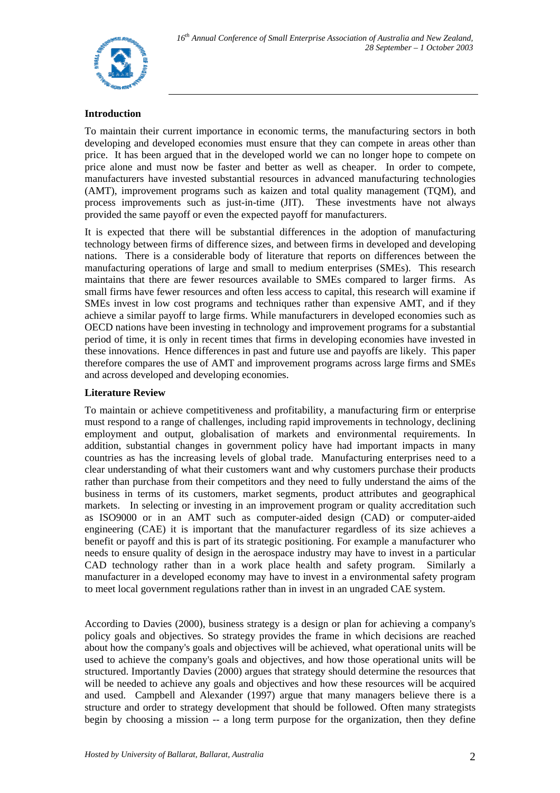

## **Introduction**

To maintain their current importance in economic terms, the manufacturing sectors in both developing and developed economies must ensure that they can compete in areas other than price. It has been argued that in the developed world we can no longer hope to compete on price alone and must now be faster and better as well as cheaper. In order to compete, manufacturers have invested substantial resources in advanced manufacturing technologies (AMT), improvement programs such as kaizen and total quality management (TQM), and process improvements such as just-in-time (JIT). These investments have not always provided the same payoff or even the expected payoff for manufacturers.

It is expected that there will be substantial differences in the adoption of manufacturing technology between firms of difference sizes, and between firms in developed and developing nations. There is a considerable body of literature that reports on differences between the manufacturing operations of large and small to medium enterprises (SMEs). This research maintains that there are fewer resources available to SMEs compared to larger firms. As small firms have fewer resources and often less access to capital, this research will examine if SMEs invest in low cost programs and techniques rather than expensive AMT, and if they achieve a similar payoff to large firms. While manufacturers in developed economies such as OECD nations have been investing in technology and improvement programs for a substantial period of time, it is only in recent times that firms in developing economies have invested in these innovations. Hence differences in past and future use and payoffs are likely. This paper therefore compares the use of AMT and improvement programs across large firms and SMEs and across developed and developing economies.

## **Literature Review**

To maintain or achieve competitiveness and profitability, a manufacturing firm or enterprise must respond to a range of challenges, including rapid improvements in technology, declining employment and output, globalisation of markets and environmental requirements. In addition, substantial changes in government policy have had important impacts in many countries as has the increasing levels of global trade. Manufacturing enterprises need to a clear understanding of what their customers want and why customers purchase their products rather than purchase from their competitors and they need to fully understand the aims of the business in terms of its customers, market segments, product attributes and geographical markets. In selecting or investing in an improvement program or quality accreditation such as ISO9000 or in an AMT such as computer-aided design (CAD) or computer-aided engineering (CAE) it is important that the manufacturer regardless of its size achieves a benefit or payoff and this is part of its strategic positioning. For example a manufacturer who needs to ensure quality of design in the aerospace industry may have to invest in a particular CAD technology rather than in a work place health and safety program. Similarly a manufacturer in a developed economy may have to invest in a environmental safety program to meet local government regulations rather than in invest in an ungraded CAE system.

According to Davies (2000), business strategy is a design or plan for achieving a company's policy goals and objectives. So strategy provides the frame in which decisions are reached about how the company's goals and objectives will be achieved, what operational units will be used to achieve the company's goals and objectives, and how those operational units will be structured. Importantly Davies (2000) argues that strategy should determine the resources that will be needed to achieve any goals and objectives and how these resources will be acquired and used. Campbell and Alexander (1997) argue that many managers believe there is a structure and order to strategy development that should be followed. Often many strategists begin by choosing a mission -- a long term purpose for the organization, then they define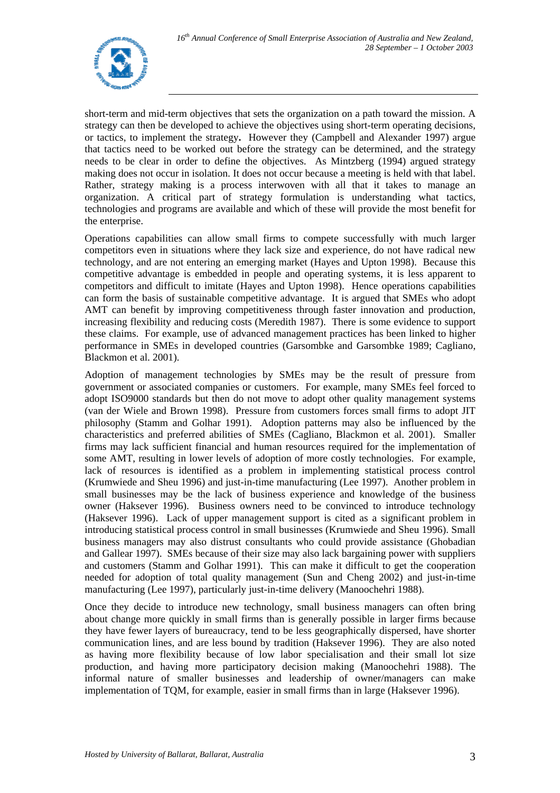

short-term and mid-term objectives that sets the organization on a path toward the mission. A strategy can then be developed to achieve the objectives using short-term operating decisions, or tactics, to implement the strategy**.** However they (Campbell and Alexander 1997) argue that tactics need to be worked out before the strategy can be determined, and the strategy needs to be clear in order to define the objectives. As Mintzberg (1994) argued strategy making does not occur in isolation. It does not occur because a meeting is held with that label. Rather, strategy making is a process interwoven with all that it takes to manage an organization. A critical part of strategy formulation is understanding what tactics, technologies and programs are available and which of these will provide the most benefit for the enterprise.

Operations capabilities can allow small firms to compete successfully with much larger competitors even in situations where they lack size and experience, do not have radical new technology, and are not entering an emerging market (Hayes and Upton 1998). Because this competitive advantage is embedded in people and operating systems, it is less apparent to competitors and difficult to imitate (Hayes and Upton 1998). Hence operations capabilities can form the basis of sustainable competitive advantage. It is argued that SMEs who adopt AMT can benefit by improving competitiveness through faster innovation and production, increasing flexibility and reducing costs (Meredith 1987). There is some evidence to support these claims. For example, use of advanced management practices has been linked to higher performance in SMEs in developed countries (Garsombke and Garsombke 1989; Cagliano, Blackmon et al. 2001).

Adoption of management technologies by SMEs may be the result of pressure from government or associated companies or customers. For example, many SMEs feel forced to adopt ISO9000 standards but then do not move to adopt other quality management systems (van der Wiele and Brown 1998). Pressure from customers forces small firms to adopt JIT philosophy (Stamm and Golhar 1991). Adoption patterns may also be influenced by the characteristics and preferred abilities of SMEs (Cagliano, Blackmon et al. 2001). Smaller firms may lack sufficient financial and human resources required for the implementation of some AMT, resulting in lower levels of adoption of more costly technologies. For example, lack of resources is identified as a problem in implementing statistical process control (Krumwiede and Sheu 1996) and just-in-time manufacturing (Lee 1997). Another problem in small businesses may be the lack of business experience and knowledge of the business owner (Haksever 1996). Business owners need to be convinced to introduce technology (Haksever 1996). Lack of upper management support is cited as a significant problem in introducing statistical process control in small businesses (Krumwiede and Sheu 1996). Small business managers may also distrust consultants who could provide assistance (Ghobadian and Gallear 1997). SMEs because of their size may also lack bargaining power with suppliers and customers (Stamm and Golhar 1991). This can make it difficult to get the cooperation needed for adoption of total quality management (Sun and Cheng 2002) and just-in-time manufacturing (Lee 1997), particularly just-in-time delivery (Manoochehri 1988).

Once they decide to introduce new technology, small business managers can often bring about change more quickly in small firms than is generally possible in larger firms because they have fewer layers of bureaucracy, tend to be less geographically dispersed, have shorter communication lines, and are less bound by tradition (Haksever 1996). They are also noted as having more flexibility because of low labor specialisation and their small lot size production, and having more participatory decision making (Manoochehri 1988). The informal nature of smaller businesses and leadership of owner/managers can make implementation of TQM, for example, easier in small firms than in large (Haksever 1996).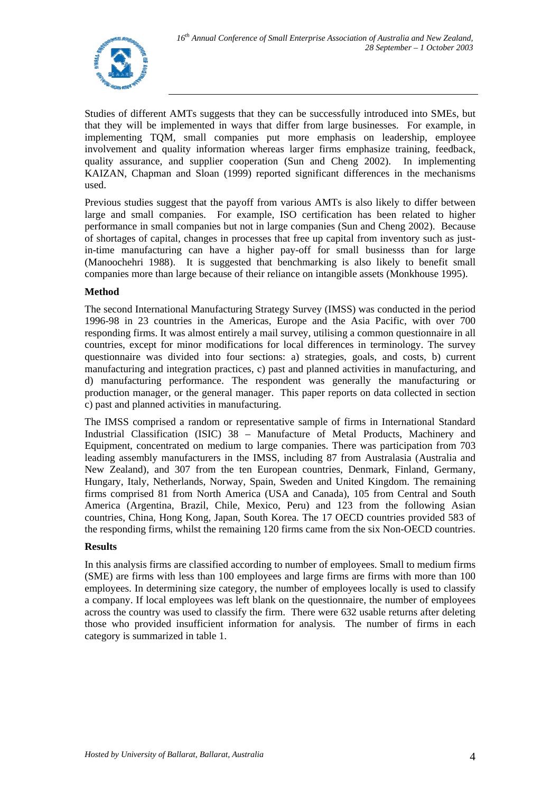

Studies of different AMTs suggests that they can be successfully introduced into SMEs, but that they will be implemented in ways that differ from large businesses. For example, in implementing TQM, small companies put more emphasis on leadership, employee involvement and quality information whereas larger firms emphasize training, feedback, quality assurance, and supplier cooperation (Sun and Cheng 2002). In implementing KAIZAN, Chapman and Sloan (1999) reported significant differences in the mechanisms used.

Previous studies suggest that the payoff from various AMTs is also likely to differ between large and small companies. For example, ISO certification has been related to higher performance in small companies but not in large companies (Sun and Cheng 2002). Because of shortages of capital, changes in processes that free up capital from inventory such as justin-time manufacturing can have a higher pay-off for small businesss than for large (Manoochehri 1988). It is suggested that benchmarking is also likely to benefit small companies more than large because of their reliance on intangible assets (Monkhouse 1995).

## **Method**

The second International Manufacturing Strategy Survey (IMSS) was conducted in the period 1996-98 in 23 countries in the Americas, Europe and the Asia Pacific, with over 700 responding firms. It was almost entirely a mail survey, utilising a common questionnaire in all countries, except for minor modifications for local differences in terminology. The survey questionnaire was divided into four sections: a) strategies, goals, and costs, b) current manufacturing and integration practices, c) past and planned activities in manufacturing, and d) manufacturing performance. The respondent was generally the manufacturing or production manager, or the general manager. This paper reports on data collected in section c) past and planned activities in manufacturing.

The IMSS comprised a random or representative sample of firms in International Standard Industrial Classification (ISIC) 38 – Manufacture of Metal Products, Machinery and Equipment, concentrated on medium to large companies. There was participation from 703 leading assembly manufacturers in the IMSS, including 87 from Australasia (Australia and New Zealand), and 307 from the ten European countries, Denmark, Finland, Germany, Hungary, Italy, Netherlands, Norway, Spain, Sweden and United Kingdom. The remaining firms comprised 81 from North America (USA and Canada), 105 from Central and South America (Argentina, Brazil, Chile, Mexico, Peru) and 123 from the following Asian countries, China, Hong Kong, Japan, South Korea. The 17 OECD countries provided 583 of the responding firms, whilst the remaining 120 firms came from the six Non-OECD countries.

## **Results**

In this analysis firms are classified according to number of employees. Small to medium firms (SME) are firms with less than 100 employees and large firms are firms with more than 100 employees. In determining size category, the number of employees locally is used to classify a company. If local employees was left blank on the questionnaire, the number of employees across the country was used to classify the firm. There were 632 usable returns after deleting those who provided insufficient information for analysis. The number of firms in each category is summarized in table 1.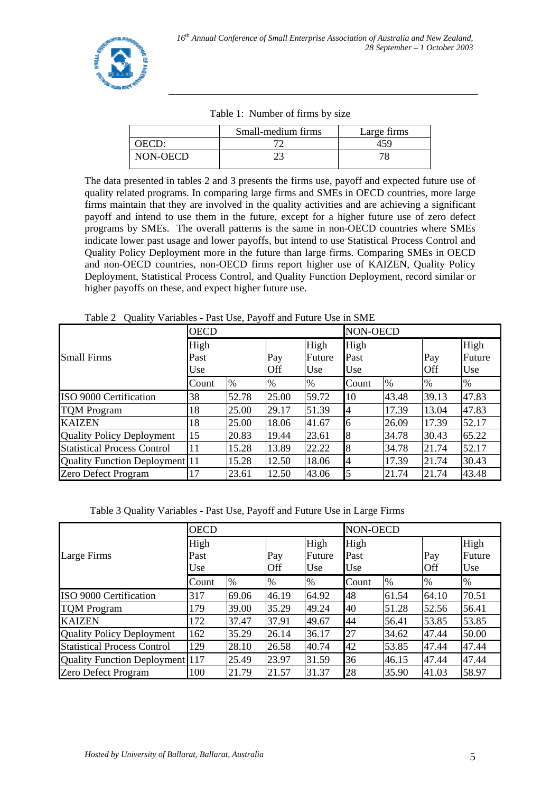|              | Small-medium firms | Large firms |
|--------------|--------------------|-------------|
| <b>DECD:</b> |                    |             |
| NON-OECD     |                    |             |

Table 1: Number of firms by size

The data presented in tables 2 and 3 presents the firms use, payoff and expected future use of quality related programs. In comparing large firms and SMEs in OECD countries, more large firms maintain that they are involved in the quality activities and are achieving a significant payoff and intend to use them in the future, except for a higher future use of zero defect programs by SMEs. The overall patterns is the same in non-OECD countries where SMEs indicate lower past usage and lower payoffs, but intend to use Statistical Process Control and Quality Policy Deployment more in the future than large firms. Comparing SMEs in OECD and non-OECD countries, non-OECD firms report higher use of KAIZEN, Quality Policy Deployment, Statistical Process Control, and Quality Function Deployment, record similar or higher payoffs on these, and expect higher future use.

Table 2 Quality Variables - Past Use, Payoff and Future Use in SME

|                                       | <b>OECD</b> |       |       |        | <b>NON-OECD</b> |       |            |        |  |
|---------------------------------------|-------------|-------|-------|--------|-----------------|-------|------------|--------|--|
|                                       | High        |       |       | High   | High            |       |            | High   |  |
| <b>Small Firms</b>                    | Past        |       | Pay   | Future | Past            |       | Pay        | Future |  |
|                                       | Use         |       | Off   | Use    | Use             |       | <b>Off</b> | Use    |  |
|                                       | Count       | %     | %     | $\%$   | Count           | $\%$  | $\%$       | %      |  |
| ISO 9000 Certification                | 38          | 52.78 | 25.00 | 59.72  | 10              | 43.48 | 39.13      | 47.83  |  |
| <b>TOM Program</b>                    | 18          | 25.00 | 29.17 | 51.39  | 4               | 17.39 | 13.04      | 47.83  |  |
| <b>KAIZEN</b>                         | 18          | 25.00 | 18.06 | 41.67  | 6               | 26.09 | 17.39      | 52.17  |  |
| <b>Quality Policy Deployment</b>      | 15          | 20.83 | 19.44 | 23.61  | 8               | 34.78 | 30.43      | 65.22  |  |
| <b>Statistical Process Control</b>    | 11          | 15.28 | 13.89 | 22.22  | 8               | 34.78 | 21.74      | 52.17  |  |
| <b>Quality Function Deployment</b> 11 |             | 15.28 | 12.50 | 18.06  | 4               | 17.39 | 21.74      | 30.43  |  |
| <b>Zero Defect Program</b>            | 17          | 23.61 | 12.50 | 43.06  | 5               | 21.74 | 21.74      | 43.48  |  |

Table 3 Quality Variables - Past Use, Payoff and Future Use in Large Firms

|                                        | <b>OECD</b> |       |       |        | <b>NON-OECD</b> |       |            |        |  |
|----------------------------------------|-------------|-------|-------|--------|-----------------|-------|------------|--------|--|
|                                        | High        |       |       | High   | High            |       |            | High   |  |
| Large Firms                            | Past        |       | Pay   | Future | Past            |       | Pay        | Future |  |
|                                        | Use         |       | Off   | Use    | Use             |       | <b>Off</b> | Use    |  |
|                                        | Count       | $\%$  | $\%$  | $\%$   | Count           | $\%$  | $\%$       | $\%$   |  |
| ISO 9000 Certification                 | 317         | 69.06 | 46.19 | 64.92  | 48              | 61.54 | 64.10      | 70.51  |  |
| <b>TQM Program</b>                     | 179         | 39.00 | 35.29 | 49.24  | 40              | 51.28 | 52.56      | 56.41  |  |
| <b>KAIZEN</b>                          | 172         | 37.47 | 37.91 | 49.67  | 44              | 56.41 | 53.85      | 53.85  |  |
| <b>Quality Policy Deployment</b>       | 162         | 35.29 | 26.14 | 36.17  | 27              | 34.62 | 47.44      | 50.00  |  |
| <b>Statistical Process Control</b>     | 129         | 28.10 | 26.58 | 40.74  | 42              | 53.85 | 47.44      | 47.44  |  |
| <b>Quality Function Deployment</b> 117 |             | 25.49 | 23.97 | 31.59  | 36              | 46.15 | 47.44      | 47.44  |  |
| Zero Defect Program                    | 100         | 21.79 | 21.57 | 31.37  | 28              | 35.90 | 41.03      | 58.97  |  |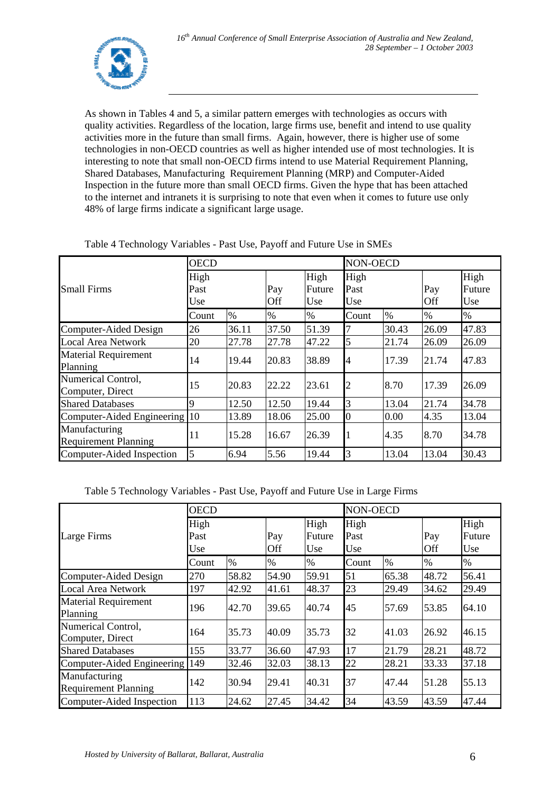

As shown in Tables 4 and 5, a similar pattern emerges with technologies as occurs with quality activities. Regardless of the location, large firms use, benefit and intend to use quality activities more in the future than small firms. Again, however, there is higher use of some technologies in non-OECD countries as well as higher intended use of most technologies. It is interesting to note that small non-OECD firms intend to use Material Requirement Planning, Shared Databases, Manufacturing Requirement Planning (MRP) and Computer-Aided Inspection in the future more than small OECD firms. Given the hype that has been attached to the internet and intranets it is surprising to note that even when it comes to future use only 48% of large firms indicate a significant large usage.

| <b>Small Firms</b>                           | <b>OECD</b>         |       |            |                       | NON-OECD            |       |            |                       |  |
|----------------------------------------------|---------------------|-------|------------|-----------------------|---------------------|-------|------------|-----------------------|--|
|                                              | High<br>Past<br>Use |       | Pay<br>Off | High<br>Future<br>Use | High<br>Past<br>Use |       | Pay<br>Off | High<br>Future<br>Use |  |
|                                              | Count               | $\%$  | $\%$       | %                     | Count               | $\%$  | $\%$       | $\%$                  |  |
| Computer-Aided Design                        | 26                  | 36.11 | 37.50      | 51.39                 | 7                   | 30.43 | 26.09      | 47.83                 |  |
| <b>Local Area Network</b>                    | 20                  | 27.78 | 27.78      | 47.22                 | 5                   | 21.74 | 26.09      | 26.09                 |  |
| <b>Material Requirement</b><br>Planning      | l4                  | 19.44 | 20.83      | 38.89                 | $\overline{4}$      | 17.39 | 21.74      | 47.83                 |  |
| Numerical Control,<br>Computer, Direct       | 15                  | 20.83 | 22.22      | 23.61                 | $\overline{c}$      | 8.70  | 17.39      | 26.09                 |  |
| <b>Shared Databases</b>                      | 9                   | 12.50 | 12.50      | 19.44                 | 3                   | 13.04 | 21.74      | 34.78                 |  |
| Computer-Aided Engineering 10                |                     | 13.89 | 18.06      | 25.00                 | $\overline{0}$      | 0.00  | 4.35       | 13.04                 |  |
| Manufacturing<br><b>Requirement Planning</b> | 11                  | 15.28 | 16.67      | 26.39                 |                     | 4.35  | 8.70       | 34.78                 |  |
| Computer-Aided Inspection                    | 5                   | 6.94  | 5.56       | 19.44                 | $\overline{3}$      | 13.04 | 13.04      | 30.43                 |  |

Table 4 Technology Variables - Past Use, Payoff and Future Use in SMEs

Table 5 Technology Variables - Past Use, Payoff and Future Use in Large Firms

|                                              | <b>OECD</b>         |       |            |                       | NON-OECD            |       |            |                       |  |
|----------------------------------------------|---------------------|-------|------------|-----------------------|---------------------|-------|------------|-----------------------|--|
| Large Firms                                  | High<br>Past<br>Use |       | Pay<br>Off | High<br>Future<br>Use | High<br>Past<br>Use |       | Pay<br>Off | High<br>Future<br>Use |  |
|                                              | Count               | $\%$  | $\%$       | $\%$                  | Count               | $\%$  | $\%$       | $\%$                  |  |
| Computer-Aided Design                        | 270                 | 58.82 | 54.90      | 59.91                 | 51                  | 65.38 | 48.72      | 56.41                 |  |
| <b>Local Area Network</b>                    | 197                 | 42.92 | 41.61      | 48.37                 | 23                  | 29.49 | 34.62      | 29.49                 |  |
| <b>Material Requirement</b><br>Planning      | 196                 | 42.70 | 39.65      | 40.74                 | 45                  | 57.69 | 53.85      | 64.10                 |  |
| Numerical Control,<br>Computer, Direct       | 164                 | 35.73 | 40.09      | 35.73                 | 32                  | 41.03 | 26.92      | 46.15                 |  |
| <b>Shared Databases</b>                      | 155                 | 33.77 | 36.60      | 47.93                 | 17                  | 21.79 | 28.21      | 48.72                 |  |
| Computer-Aided Engineering                   | 149                 | 32.46 | 32.03      | 38.13                 | 22                  | 28.21 | 33.33      | 37.18                 |  |
| Manufacturing<br><b>Requirement Planning</b> | 142                 | 30.94 | 29.41      | 40.31                 | 37                  | 47.44 | 51.28      | 55.13                 |  |
| Computer-Aided Inspection                    | 113                 | 24.62 | 27.45      | 34.42                 | 34                  | 43.59 | 43.59      | 47.44                 |  |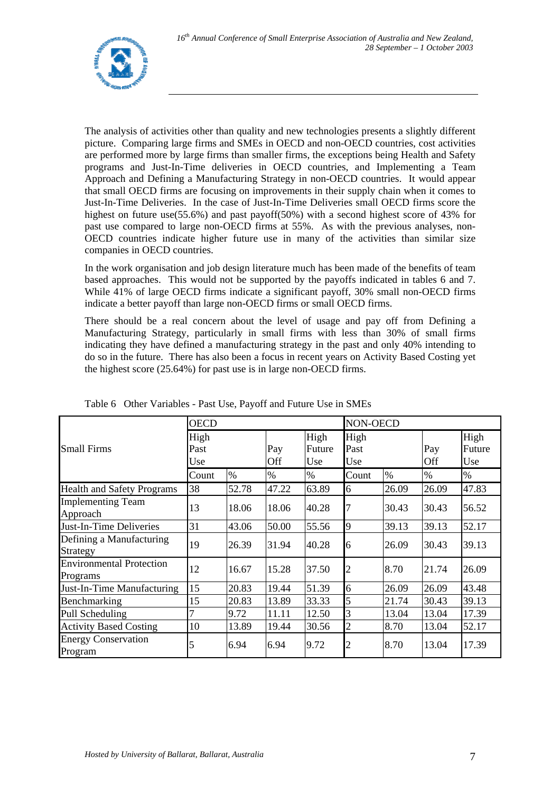

The analysis of activities other than quality and new technologies presents a slightly different picture. Comparing large firms and SMEs in OECD and non-OECD countries, cost activities are performed more by large firms than smaller firms, the exceptions being Health and Safety programs and Just-In-Time deliveries in OECD countries, and Implementing a Team Approach and Defining a Manufacturing Strategy in non-OECD countries. It would appear that small OECD firms are focusing on improvements in their supply chain when it comes to Just-In-Time Deliveries. In the case of Just-In-Time Deliveries small OECD firms score the highest on future use(55.6%) and past payoff(50%) with a second highest score of 43% for past use compared to large non-OECD firms at 55%. As with the previous analyses, non-OECD countries indicate higher future use in many of the activities than similar size companies in OECD countries.

In the work organisation and job design literature much has been made of the benefits of team based approaches. This would not be supported by the payoffs indicated in tables 6 and 7. While 41% of large OECD firms indicate a significant payoff, 30% small non-OECD firms indicate a better payoff than large non-OECD firms or small OECD firms.

There should be a real concern about the level of usage and pay off from Defining a Manufacturing Strategy, particularly in small firms with less than 30% of small firms indicating they have defined a manufacturing strategy in the past and only 40% intending to do so in the future. There has also been a focus in recent years on Activity Based Costing yet the highest score (25.64%) for past use is in large non-OECD firms.

| <b>Small Firms</b>                          | <b>OECD</b>         |       |            |                       | NON-OECD            |       |            |                       |  |
|---------------------------------------------|---------------------|-------|------------|-----------------------|---------------------|-------|------------|-----------------------|--|
|                                             | High<br>Past<br>Use |       | Pay<br>Off | High<br>Future<br>Use | High<br>Past<br>Use |       | Pay<br>Off | High<br>Future<br>Use |  |
|                                             | Count               | $\%$  | $\%$       | $\%$                  | Count               | $\%$  | $\%$       | $\%$                  |  |
| <b>Health and Safety Programs</b>           | 38                  | 52.78 | 47.22      | 63.89                 | 6                   | 26.09 | 26.09      | 47.83                 |  |
| <b>Implementing Team</b><br>Approach        | 13                  | 18.06 | 18.06      | 40.28                 | 7                   | 30.43 | 30.43      | 56.52                 |  |
| Just-In-Time Deliveries                     | 31                  | 43.06 | 50.00      | 55.56                 | 9                   | 39.13 | 39.13      | 52.17                 |  |
| Defining a Manufacturing<br>Strategy        | 19                  | 26.39 | 31.94      | 40.28                 | 6                   | 26.09 | 30.43      | 39.13                 |  |
| <b>Environmental Protection</b><br>Programs | $\overline{12}$     | 16.67 | 15.28      | 37.50                 | $\overline{c}$      | 8.70  | 21.74      | 26.09                 |  |
| Just-In-Time Manufacturing                  | 15                  | 20.83 | 19.44      | 51.39                 | 6                   | 26.09 | 26.09      | 43.48                 |  |
| Benchmarking                                | 15                  | 20.83 | 13.89      | 33.33                 | 5                   | 21.74 | 30.43      | 39.13                 |  |
| Pull Scheduling                             | 7                   | 9.72  | 11.11      | 12.50                 | 3                   | 13.04 | 13.04      | 17.39                 |  |
| <b>Activity Based Costing</b>               | 10                  | 13.89 | 19.44      | 30.56                 | $\overline{c}$      | 8.70  | 13.04      | 52.17                 |  |
| <b>Energy Conservation</b><br>Program       | 5                   | 6.94  | 6.94       | 9.72                  | $\overline{c}$      | 8.70  | 13.04      | 17.39                 |  |

| Table 6 Other Variables - Past Use, Payoff and Future Use in SMEs |  |  |
|-------------------------------------------------------------------|--|--|
|                                                                   |  |  |
|                                                                   |  |  |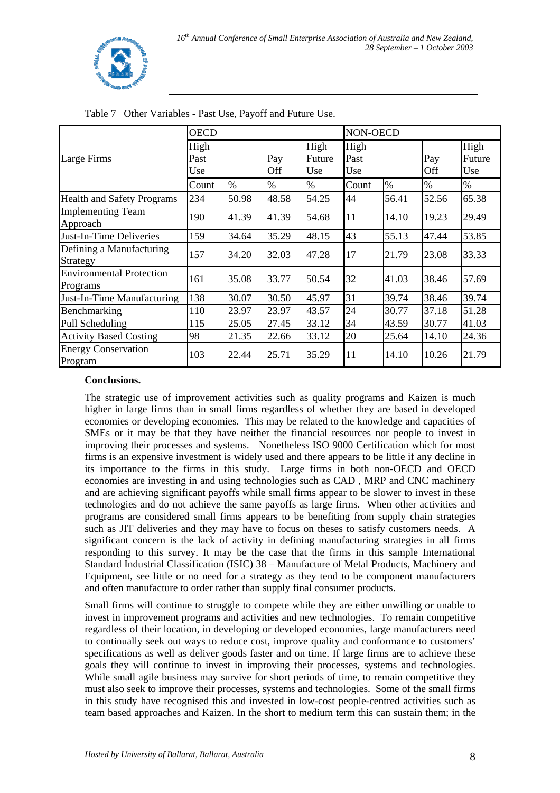

|                                             | <b>OECD</b>         |       |            |                       | NON-OECD            |       |            |                       |  |
|---------------------------------------------|---------------------|-------|------------|-----------------------|---------------------|-------|------------|-----------------------|--|
| Large Firms                                 | High<br>Past<br>Use |       | Pay<br>Off | High<br>Future<br>Use | High<br>Past<br>Use |       | Pay<br>Off | High<br>Future<br>Use |  |
|                                             | Count               | $\%$  | $\%$       | $\%$                  | Count               | $\%$  | $\%$       | $\%$                  |  |
| <b>Health and Safety Programs</b>           | 234                 | 50.98 | 48.58      | 54.25                 | 44                  | 56.41 | 52.56      | 65.38                 |  |
| <b>Implementing Team</b><br>Approach        | 190                 | 41.39 | 41.39      | 54.68                 | 11                  | 14.10 | 19.23      | 29.49                 |  |
| Just-In-Time Deliveries                     | 159                 | 34.64 | 35.29      | 48.15                 | 43                  | 55.13 | 47.44      | 53.85                 |  |
| Defining a Manufacturing<br>Strategy        | 157                 | 34.20 | 32.03      | 47.28                 | 17                  | 21.79 | 23.08      | 33.33                 |  |
| <b>Environmental Protection</b><br>Programs | 161                 | 35.08 | 33.77      | 50.54                 | 32                  | 41.03 | 38.46      | 57.69                 |  |
| Just-In-Time Manufacturing                  | 138                 | 30.07 | 30.50      | 45.97                 | 31                  | 39.74 | 38.46      | 39.74                 |  |
| Benchmarking                                | 110                 | 23.97 | 23.97      | 43.57                 | 24                  | 30.77 | 37.18      | 51.28                 |  |
| Pull Scheduling                             | 115                 | 25.05 | 27.45      | 33.12                 | 34                  | 43.59 | 30.77      | 41.03                 |  |
| <b>Activity Based Costing</b>               | 98                  | 21.35 | 22.66      | 33.12                 | 20                  | 25.64 | 14.10      | 24.36                 |  |
| <b>Energy Conservation</b><br>Program       | 103                 | 22.44 | 25.71      | 35.29                 | 11                  | 14.10 | 10.26      | 21.79                 |  |

Table 7 Other Variables - Past Use, Payoff and Future Use.

## **Conclusions.**

The strategic use of improvement activities such as quality programs and Kaizen is much higher in large firms than in small firms regardless of whether they are based in developed economies or developing economies. This may be related to the knowledge and capacities of SMEs or it may be that they have neither the financial resources nor people to invest in improving their processes and systems. Nonetheless ISO 9000 Certification which for most firms is an expensive investment is widely used and there appears to be little if any decline in its importance to the firms in this study. Large firms in both non-OECD and OECD economies are investing in and using technologies such as CAD , MRP and CNC machinery and are achieving significant payoffs while small firms appear to be slower to invest in these technologies and do not achieve the same payoffs as large firms. When other activities and programs are considered small firms appears to be benefiting from supply chain strategies such as JIT deliveries and they may have to focus on theses to satisfy customers needs. A significant concern is the lack of activity in defining manufacturing strategies in all firms responding to this survey. It may be the case that the firms in this sample International Standard Industrial Classification (ISIC) 38 – Manufacture of Metal Products, Machinery and Equipment, see little or no need for a strategy as they tend to be component manufacturers and often manufacture to order rather than supply final consumer products.

Small firms will continue to struggle to compete while they are either unwilling or unable to invest in improvement programs and activities and new technologies. To remain competitive regardless of their location, in developing or developed economies, large manufacturers need to continually seek out ways to reduce cost, improve quality and conformance to customers' specifications as well as deliver goods faster and on time. If large firms are to achieve these goals they will continue to invest in improving their processes, systems and technologies. While small agile business may survive for short periods of time, to remain competitive they must also seek to improve their processes, systems and technologies. Some of the small firms in this study have recognised this and invested in low-cost people-centred activities such as team based approaches and Kaizen. In the short to medium term this can sustain them; in the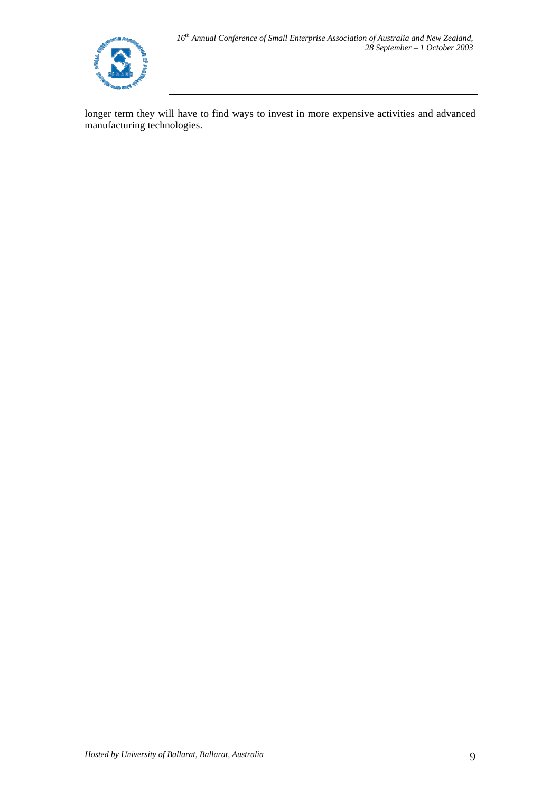

longer term they will have to find ways to invest in more expensive activities and advanced manufacturing technologies.